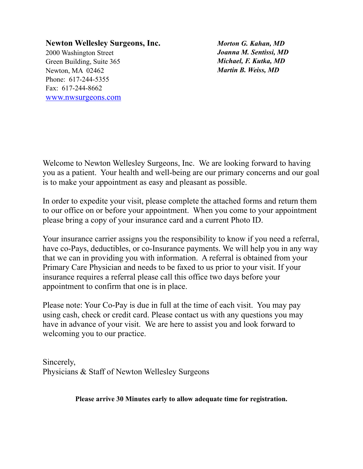**Newton Wellesley Surgeons, Inc.** 2000 Washington Street Green Building, Suite 365 Newton, MA 02462 Phone: 617-244-5355 Fax: 617-244-8662 [www.nwsurgeons.com](http://www.nwsurgeons.com)

*Morton G. Kahan, MD Joanna M. Sentissi, MD Michael, F. Kutka, MD Martin B. Weiss, MD*

Welcome to Newton Wellesley Surgeons, Inc. We are looking forward to having you as a patient. Your health and well-being are our primary concerns and our goal is to make your appointment as easy and pleasant as possible.

In order to expedite your visit, please complete the attached forms and return them to our office on or before your appointment. When you come to your appointment please bring a copy of your insurance card and a current Photo ID.

Your insurance carrier assigns you the responsibility to know if you need a referral, have co-Pays, deductibles, or co-Insurance payments. We will help you in any way that we can in providing you with information. A referral is obtained from your Primary Care Physician and needs to be faxed to us prior to your visit. If your insurance requires a referral please call this office two days before your appointment to confirm that one is in place.

Please note: Your Co-Pay is due in full at the time of each visit. You may pay using cash, check or credit card. Please contact us with any questions you may have in advance of your visit. We are here to assist you and look forward to welcoming you to our practice.

Sincerely, Physicians & Staff of Newton Wellesley Surgeons

**Please arrive 30 Minutes early to allow adequate time for registration.**